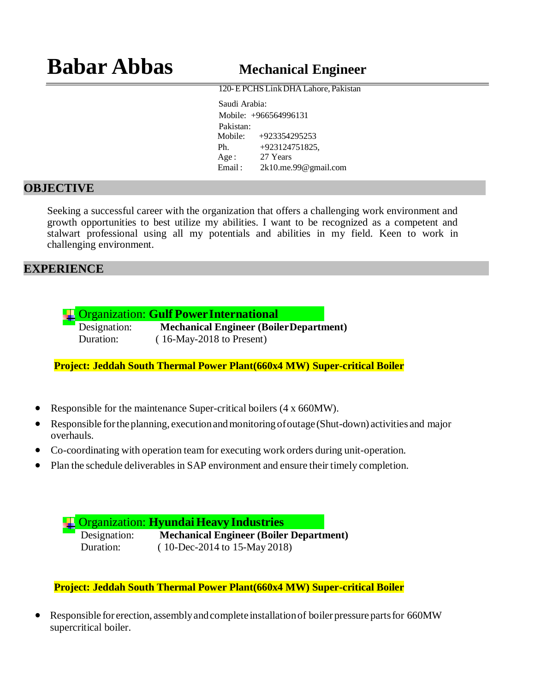120-E PCHS LinkDHA Lahore, Pakistan

Saudi Arabia: Mobile: +966564996131 Pakistan: Mobile: +923354295253 Ph. +923124751825, Age: 27 Years Email : [2k10.me.99@gmail.com](mailto:99@gmail.com)

#### **OBJECTIVE**

Seeking a successful career with the organization that offers a challenging work environment and growth opportunities to best utilize my abilities. I want to be recognized as a competent and stalwart professional using all my potentials and abilities in my field. Keen to work in challenging environment.

#### **EXPERIENCE**

Organization: **Gulf PowerInternational**

Designation: **Mechanical Engineer (BoilerDepartment)**  Duration: ( 16-May-2018 to Present)

**Project: Jeddah South Thermal Power Plant(660x4 MW) Super-critical Boiler**

- Responsible for the maintenance Super-critical boilers (4 x 660MW).
- Responsible for the planning, execution and monitoring of outage (Shut-down) activities and major overhauls.
- Co-coordinating with operation team for executing work orders during unit-operation.
- Plan the schedule deliverables in SAP environment and ensure their timely completion.

Organization: **HyundaiHeavy Industries**

Designation: **Mechanical Engineer (Boiler Department)**  Duration: ( 10-Dec-2014 to 15-May 2018)

**Project: Jeddah South Thermal Power Plant(660x4 MW) Super-critical Boiler**

 Responsible for erection, assemblyandcomplete installationof boiler pressurepartsfor 660MW supercritical boiler.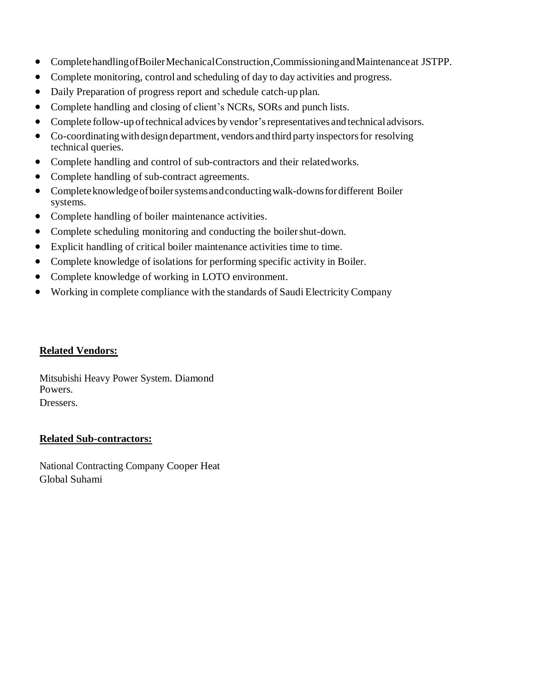- CompletehandlingofBoilerMechanicalConstruction,CommissioningandMaintenanceat JSTPP.
- Complete monitoring, control and scheduling of day to day activities and progress.
- Daily Preparation of progress report and schedule catch-up plan.
- Complete handling and closing of client's NCRs, SORs and punch lists.
- Complete follow-up of technical advices by vendor's representatives and technical advisors.
- Co-coordinating with design department, vendors and third party inspectors for resolving technical queries.
- Complete handling and control of sub-contractors and their related works.
- Complete handling of sub-contract agreements.
- Complete knowledge of boiler systems and conducting walk-downs for different Boiler systems.
- Complete handling of boiler maintenance activities.
- Complete scheduling monitoring and conducting the boiler shut-down.
- Explicit handling of critical boiler maintenance activities time to time.
- Complete knowledge of isolations for performing specific activity in Boiler.
- Complete knowledge of working in LOTO environment.
- Working in complete compliance with the standards of Saudi Electricity Company

#### **Related Vendors:**

Mitsubishi Heavy Power System. Diamond Powers. Dressers.

#### **Related Sub-contractors:**

National Contracting Company Cooper Heat Global Suhami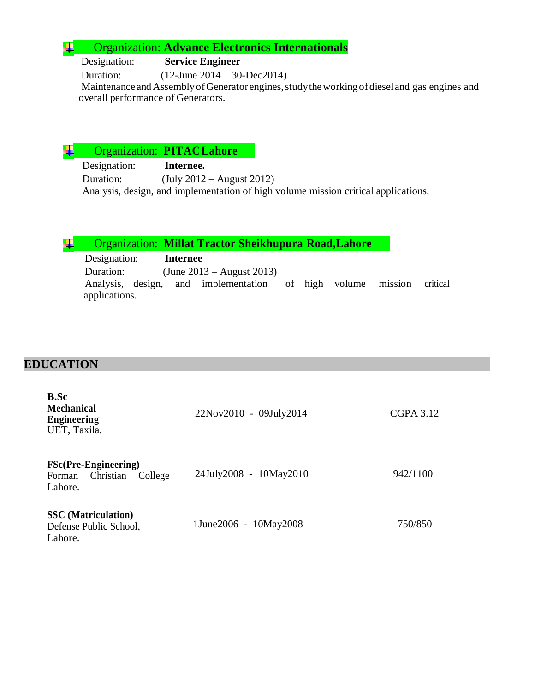#### Organization: **Advance Electronics Internationals** ₩

Designation: **Service Engineer**

Duration: (12-June 2014 – 30-Dec2014)

Maintenance and Assembly of Generator engines, study the working of diesel and gas engines and overall performance of Generators.

Organization: **PITACLahore** ₩.

> Designation: **Internee.** Duration: (July 2012 – August 2012) Analysis, design, and implementation of high volume mission critical applications.

|  |  | Organization: Millat Tractor Sheikhupura Road, Lahore |  |
|--|--|-------------------------------------------------------|--|
|--|--|-------------------------------------------------------|--|

 Designation: **Internee** Duration: (June 2013 – August 2013) Analysis, design, and implementation of high volume mission critical applications.

### **EDUCATION**

| <b>B.Sc</b><br><b>Mechanical</b><br><b>Engineering</b><br>UET, Taxila.   | 22Nov2010 - 09July2014 | <b>CGPA 3.12</b> |
|--------------------------------------------------------------------------|------------------------|------------------|
| <b>FSc(Pre-Engineering)</b><br>Christian<br>College<br>Forman<br>Lahore. | 24July2008 - 10May2010 | 942/1100         |
| <b>SSC</b> (Matriculation)<br>Defense Public School,<br>Lahore.          | 1June2006 - 10May2008  | 750/850          |